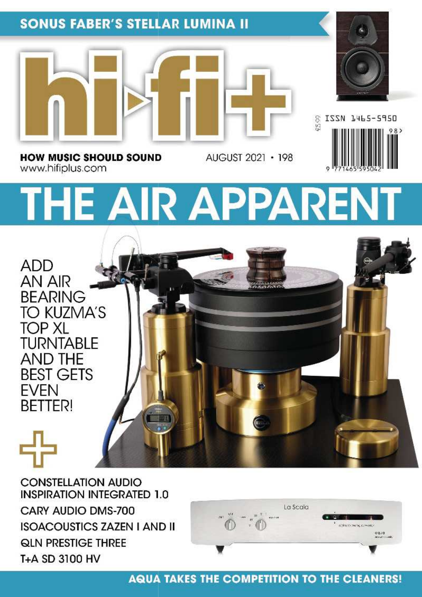### **SONUS FABER'S STELLAR LUMINA II**







**HOW MUSIC SHOULD SOUND** www.hifiplus.com

# THE AIR APPARENT

AUGUST 2021 • 198

**ADD** AN AIR **BEARING** TO KUZMA'S **TOP XL TURNTABLE AND THE BEST GETS FVFN BETTER!** 

T+A SD 3100 HV

**CONSTELLATION AUDIO INSPIRATION INTEGRATED 1.0** CARY AUDIO DMS-700 **ISOACOUSTICS ZAZEN I AND II QLN PRESTIGE THREE** 



#### **AQUA TAKES THE COMPETITION TO THE CLEANERS!**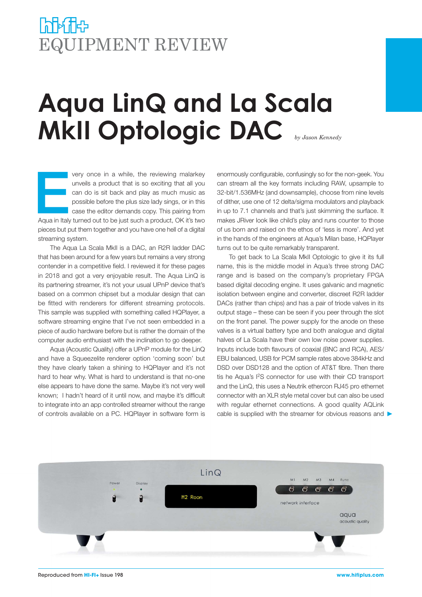## **PAPA THEP** EQUIPMENT REVIEW

# **Aqua LinQ and La Scala MkII Optologic DAC**

E very once in a while, the reviewing malarkey unveils a product that is so exciting that all you can do is sit back and play as much music as possible before the plus size lady sings, or in this case the editor demands copy. This pairing from Aqua in Italy turned out to be just such a product, OK it's two pieces but put them together and you have one hell of a digital streaming system.

The Aqua La Scala MkII is a DAC, an R2R ladder DAC that has been around for a few years but remains a very strong contender in a competitive field. I reviewed it for these pages in 2018 and got a very enjoyable result. The Aqua LinQ is its partnering streamer, it's not your usual UPnP device that's based on a common chipset but a modular design that can be fitted with renderers for different streaming protocols. This sample was supplied with something called HQPlayer, a software streaming engine that I've not seen embedded in a piece of audio hardware before but is rather the domain of the computer audio enthusiast with the inclination to go deeper.

Aqua (Acoustic Quality) offer a UPnP module for the LinQ and have a Squeezelite renderer option 'coming soon' but they have clearly taken a shining to HQPlayer and it's not hard to hear why. What is hard to understand is that no-one else appears to have done the same. Maybe it's not very well known; I hadn't heard of it until now, and maybe it's difficult to integrate into an app controlled streamer without the range of controls available on a PC. HQPlayer in software form is

enormously configurable, confusingly so for the non-geek. You can stream all the key formats including RAW, upsample to 32-bit/1.536MHz (and downsample), choose from nine levels of dither, use one of 12 delta/sigma modulators and playback in up to 7.1 channels and that's just skimming the surface. It makes JRiver look like child's play and runs counter to those of us born and raised on the ethos of 'less is more'. And yet in the hands of the engineers at Aqua's Milan base, HQPlayer turns out to be quite remarkably transparent.

To get back to La Scala MkII Optologic to give it its full name, this is the middle model in Aqua's three strong DAC range and is based on the company's proprietary FPGA based digital decoding engine. It uses galvanic and magnetic isolation between engine and converter, discreet R2R ladder DACs (rather than chips) and has a pair of triode valves in its output stage – these can be seen if you peer through the slot on the front panel. The power supply for the anode on these valves is a virtual battery type and both analogue and digital halves of La Scala have their own low noise power supplies. Inputs include both flavours of coaxial (BNC and RCA), AES/ EBU balanced, USB for PCM sample rates above 384kHz and DSD over DSD128 and the option of AT&T fibre. Then there tis he Aqua's I2S connector for use with their CD transport and the LinQ, this uses a Neutrik ethercon RJ45 pro ethernet connector with an XLR style metal cover but can also be used with regular ethernet connections. A good quality AQLink cable is supplied with the streamer for obvious reasons and  $\blacktriangleright$ 

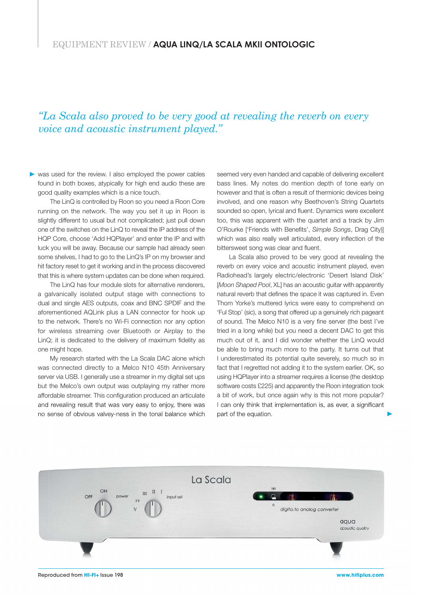#### *"La Scala also proved to be very good at revealing the reverb on every voice and acoustic instrument played."*

was used for the review. I also employed the power cables found in both boxes, atypically for high end audio these are good quality examples which is a nice touch.

The LinQ is controlled by Roon so you need a Roon Core running on the network. The way you set it up in Roon is slightly different to usual but not complicated; just pull down one of the switches on the LinQ to reveal the IP address of the HQP Core, choose 'Add HQPlayer' and enter the IP and with luck you will be away. Because our sample had already seen some shelves, I had to go to the LinQ's IP on my browser and hit factory reset to get it working and in the process discovered that this is where system updates can be done when required.

The LinQ has four module slots for alternative renderers, a galvanically isolated output stage with connections to dual and single AES outputs, coax and BNC SPDIF and the aforementioned AQLink plus a LAN connector for hook up to the network. There's no Wi-Fi connection nor any option for wireless streaming over Bluetooth or Airplay to the LinQ; it is dedicated to the delivery of maximum fidelity as one might hope.

My research started with the La Scala DAC alone which was connected directly to a Melco N10 45th Anniversary server via USB. I generally use a streamer in my digital set ups but the Melco's own output was outplaying my rather more affordable streamer. This configuration produced an articulate and revealing result that was very easy to enjoy, there was no sense of obvious valvey-ness in the tonal balance which seemed very even handed and capable of delivering excellent bass lines. My notes do mention depth of tone early on however and that is often a result of thermionic devices being involved, and one reason why Beethoven's String Quartets sounded so open, lyrical and fluent. Dynamics were excellent too, this was apparent with the quartet and a track by Jim O'Rourke ['Friends with Benefits', Simple Songs, Drag City]] which was also really well articulated, every inflection of the bittersweet song was clear and fluent.

La Scala also proved to be very good at revealing the reverb on every voice and acoustic instrument played, even Radiohead's largely electric/electronic 'Desert Island Disk' [Moon Shaped Pool, XL] has an acoustic quitar with apparently natural reverb that defines the space it was captured in. Even Thom Yorke's muttered lyrics were easy to comprehend on 'Ful Stop' (sic), a song that offered up a genuinely rich pageant of sound. The Melco N10 is a very fine server (the best I've tried in a long while) but you need a decent DAC to get this much out of it, and I did wonder whether the LinQ would be able to bring much more to the party. It turns out that I underestimated its potential quite severely, so much so in fact that I regretted not adding it to the system earlier. OK, so using HQPlayer into a streamer requires a license (the desktop software costs £225) and apparently the Roon integration took a bit of work, but once again why is this not more popular? I can only think that implementation is, as ever, a significant part of the equation.

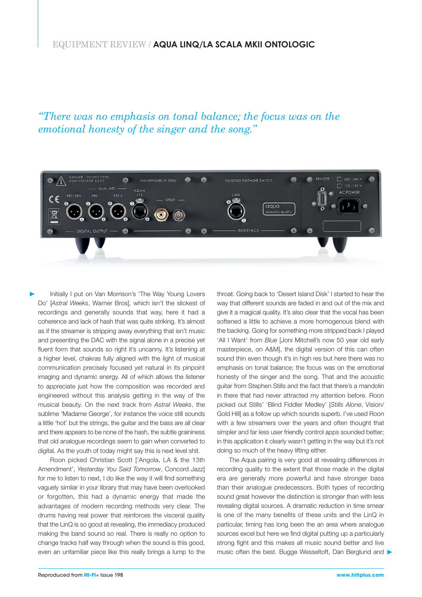#### EQUIPMENT REVIEW / **AQUA LINQ/LA SCALA MKII ONTOLOGIC**

*"There was no emphasis on tonal balance; the focus was on the emotional honesty of the singer and the song."*



Initially I put on Van Morrison's 'The Way Young Lovers Do' [Astral Weeks, Warner Bros], which isn't the slickest of recordings and generally sounds that way, here it had a coherence and lack of hash that was quite striking. It's almost as if the streamer is stripping away everything that isn't music and presenting the DAC with the signal alone in a precise yet fluent form that sounds so right it's uncanny. It's listening at a higher level, chakras fully aligned with the light of musical communication precisely focused yet natural in its pinpoint imaging and dynamic energy. All of which allows the listener to appreciate just how the composition was recorded and engineered without this analysis getting in the way of the musical beauty. On the next track from Astral Weeks, the sublime 'Madame George', for instance the voice still sounds a little 'hot' but the strings, the guitar and the bass are all clear and there appears to be none of the hash, the subtle graininess that old analogue recordings seem to gain when converted to digital. As the youth of today might say this is next level shit.

Roon picked Christian Scott ['Angola, LA & the 13th Amendment', Yesterday You Said Tomorrow, Concord Jazz] for me to listen to next, I do like the way it will find something vaguely similar in your library that may have been overlooked or forgotten, this had a dynamic energy that made the advantages of modern recording methods very clear. The drums having real power that reinforces the visceral quality that the LinQ is so good at revealing, the immediacy produced making the band sound so real. There is really no option to change tracks half way through when the sound is this good, even an unfamiliar piece like this really brings a lump to the throat. Going back to 'Desert Island Disk' I started to hear the way that different sounds are faded in and out of the mix and give it a magical quality. It's also clear that the vocal has been softened a little to achieve a more homogenous blend with the backing. Going for something more stripped back I played 'All I Want' from Blue [Joni Mitchell's now 50 year old early masterpiece, on A&M], the digital version of this can often sound thin even though it's in high res but here there was no emphasis on tonal balance; the focus was on the emotional honesty of the singer and the song. That and the acoustic guitar from Stephen Stills and the fact that there's a mandolin in there that had never attracted my attention before. Roon picked out Stills' 'Blind Fiddler Medley' [Stills Alone, Vision/ Gold Hill] as a follow up which sounds superb. I've used Roon with a few streamers over the years and often thought that simpler and far less user friendly control apps sounded better; in this application it clearly wasn't getting in the way but it's not doing so much of the heavy lifting either.

The Aqua pairing is very good at revealing differences in recording quality to the extent that those made in the digital era are generally more powerful and have stronger bass than their analogue predecessors. Both types of recording sound great however the distinction is stronger than with less revealing digital sources. A dramatic reduction in time smear is one of the many benefits of these units and the LinQ in particular, timing has long been the an area where analogue sources excel but here we find digital putting up a particularly strong fight and this makes all music sound better and live music often the best. Bugge Wesseltoft, Dan Berglund and